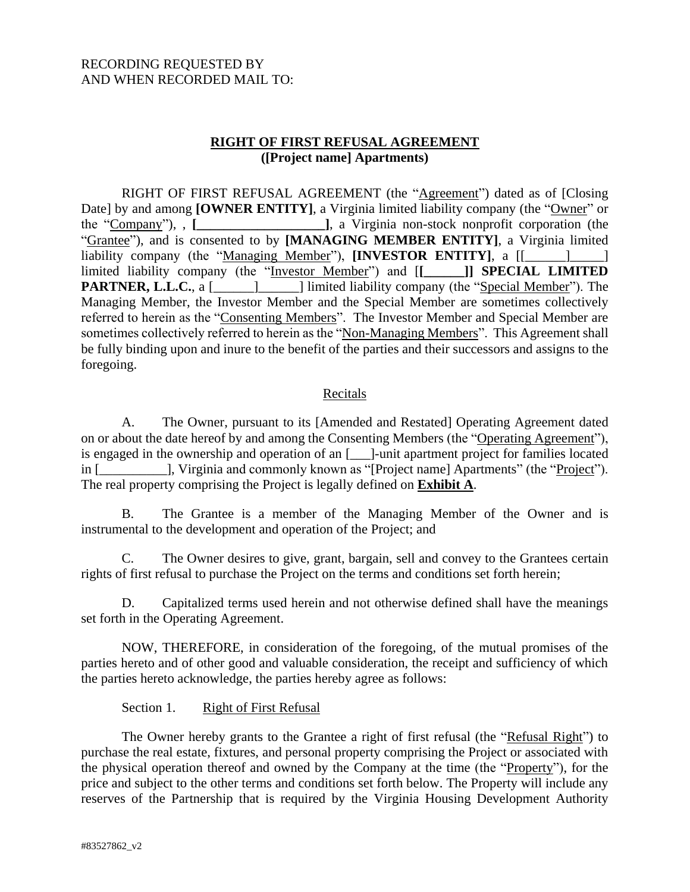## RECORDING REQUESTED BY AND WHEN RECORDED MAIL TO:

## **RIGHT OF FIRST REFUSAL AGREEMENT ([Project name] Apartments)**

RIGHT OF FIRST REFUSAL AGREEMENT (the "Agreement") dated as of [Closing Date] by and among **[OWNER ENTITY]**, a Virginia limited liability company (the "Owner" or the "Company"), , **[\_\_\_\_\_\_\_\_\_\_\_\_\_\_\_\_\_\_\_]**, a Virginia non-stock nonprofit corporation (the "Grantee"), and is consented to by **[MANAGING MEMBER ENTITY]**, a Virginia limited liability company (the "Managing Member"), **[INVESTOR ENTITY**], a  $[[$ limited liability company (the "Investor Member") and [**[\_\_\_\_\_\_]] SPECIAL LIMITED PARTNER, L.L.C.**, a [\_\_\_\_\_\_\_\_\_\_\_\_\_\_] limited liability company (the "Special Member"). The Managing Member, the Investor Member and the Special Member are sometimes collectively referred to herein as the "Consenting Members". The Investor Member and Special Member are sometimes collectively referred to herein as the "Non-Managing Members". This Agreement shall be fully binding upon and inure to the benefit of the parties and their successors and assigns to the foregoing.

#### Recitals

A. The Owner, pursuant to its [Amended and Restated] Operating Agreement dated on or about the date hereof by and among the Consenting Members (the "Operating Agreement"), is engaged in the ownership and operation of an [\_\_\_]-unit apartment project for families located in [\_\_\_\_\_\_\_\_\_\_], Virginia and commonly known as "[Project name] Apartments" (the "Project"). The real property comprising the Project is legally defined on **Exhibit A**.

B. The Grantee is a member of the Managing Member of the Owner and is instrumental to the development and operation of the Project; and

C. The Owner desires to give, grant, bargain, sell and convey to the Grantees certain rights of first refusal to purchase the Project on the terms and conditions set forth herein;

D. Capitalized terms used herein and not otherwise defined shall have the meanings set forth in the Operating Agreement.

NOW, THEREFORE, in consideration of the foregoing, of the mutual promises of the parties hereto and of other good and valuable consideration, the receipt and sufficiency of which the parties hereto acknowledge, the parties hereby agree as follows:

#### Section 1. Right of First Refusal

The Owner hereby grants to the Grantee a right of first refusal (the "Refusal Right") to purchase the real estate, fixtures, and personal property comprising the Project or associated with the physical operation thereof and owned by the Company at the time (the "Property"), for the price and subject to the other terms and conditions set forth below. The Property will include any reserves of the Partnership that is required by the Virginia Housing Development Authority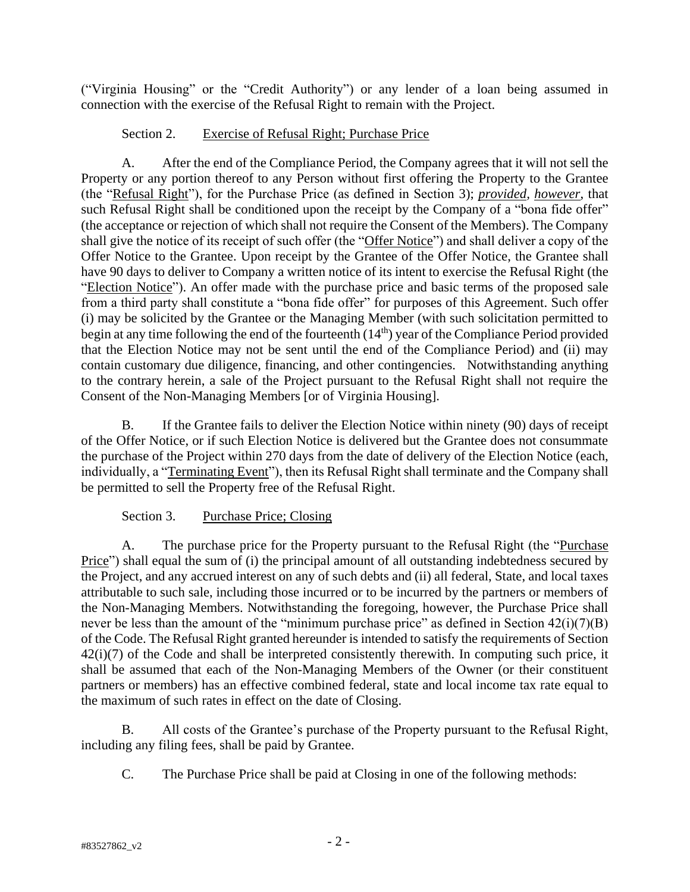("Virginia Housing" or the "Credit Authority") or any lender of a loan being assumed in connection with the exercise of the Refusal Right to remain with the Project.

## Section 2. Exercise of Refusal Right; Purchase Price

A. After the end of the Compliance Period, the Company agrees that it will not sell the Property or any portion thereof to any Person without first offering the Property to the Grantee (the "Refusal Right"), for the Purchase Price (as defined in Section 3); *provided, however*, that such Refusal Right shall be conditioned upon the receipt by the Company of a "bona fide offer" (the acceptance or rejection of which shall not require the Consent of the Members). The Company shall give the notice of its receipt of such offer (the "Offer Notice") and shall deliver a copy of the Offer Notice to the Grantee. Upon receipt by the Grantee of the Offer Notice, the Grantee shall have 90 days to deliver to Company a written notice of its intent to exercise the Refusal Right (the "Election Notice"). An offer made with the purchase price and basic terms of the proposed sale from a third party shall constitute a "bona fide offer" for purposes of this Agreement. Such offer (i) may be solicited by the Grantee or the Managing Member (with such solicitation permitted to begin at any time following the end of the fourteenth (14<sup>th</sup>) year of the Compliance Period provided that the Election Notice may not be sent until the end of the Compliance Period) and (ii) may contain customary due diligence, financing, and other contingencies. Notwithstanding anything to the contrary herein, a sale of the Project pursuant to the Refusal Right shall not require the Consent of the Non-Managing Members [or of Virginia Housing].

B. If the Grantee fails to deliver the Election Notice within ninety (90) days of receipt of the Offer Notice, or if such Election Notice is delivered but the Grantee does not consummate the purchase of the Project within 270 days from the date of delivery of the Election Notice (each, individually, a "Terminating Event"), then its Refusal Right shall terminate and the Company shall be permitted to sell the Property free of the Refusal Right.

## Section 3. Purchase Price; Closing

A. The purchase price for the Property pursuant to the Refusal Right (the "Purchase Price") shall equal the sum of (i) the principal amount of all outstanding indebtedness secured by the Project, and any accrued interest on any of such debts and (ii) all federal, State, and local taxes attributable to such sale, including those incurred or to be incurred by the partners or members of the Non-Managing Members. Notwithstanding the foregoing, however, the Purchase Price shall never be less than the amount of the "minimum purchase price" as defined in Section 42(i)(7)(B) of the Code. The Refusal Right granted hereunder is intended to satisfy the requirements of Section 42(i)(7) of the Code and shall be interpreted consistently therewith. In computing such price, it shall be assumed that each of the Non-Managing Members of the Owner (or their constituent partners or members) has an effective combined federal, state and local income tax rate equal to the maximum of such rates in effect on the date of Closing.

B. All costs of the Grantee's purchase of the Property pursuant to the Refusal Right, including any filing fees, shall be paid by Grantee.

C. The Purchase Price shall be paid at Closing in one of the following methods: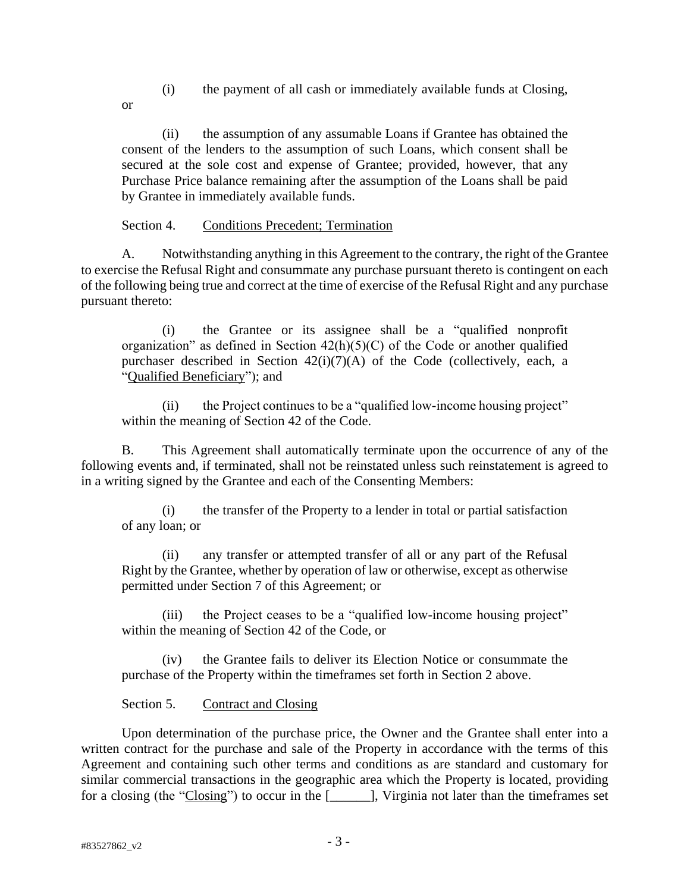- (i) the payment of all cash or immediately available funds at Closing,
- or

(ii) the assumption of any assumable Loans if Grantee has obtained the consent of the lenders to the assumption of such Loans, which consent shall be secured at the sole cost and expense of Grantee; provided, however, that any Purchase Price balance remaining after the assumption of the Loans shall be paid by Grantee in immediately available funds.

#### Section 4. Conditions Precedent; Termination

A. Notwithstanding anything in this Agreement to the contrary, the right of the Grantee to exercise the Refusal Right and consummate any purchase pursuant thereto is contingent on each of the following being true and correct at the time of exercise of the Refusal Right and any purchase pursuant thereto:

(i) the Grantee or its assignee shall be a "qualified nonprofit organization" as defined in Section  $42(h)(5)(C)$  of the Code or another qualified purchaser described in Section  $42(i)(7)(A)$  of the Code (collectively, each, a "Qualified Beneficiary"); and

(ii) the Project continues to be a "qualified low-income housing project" within the meaning of Section 42 of the Code.

B. This Agreement shall automatically terminate upon the occurrence of any of the following events and, if terminated, shall not be reinstated unless such reinstatement is agreed to in a writing signed by the Grantee and each of the Consenting Members:

(i) the transfer of the Property to a lender in total or partial satisfaction of any loan; or

(ii) any transfer or attempted transfer of all or any part of the Refusal Right by the Grantee, whether by operation of law or otherwise, except as otherwise permitted under Section 7 of this Agreement; or

(iii) the Project ceases to be a "qualified low-income housing project" within the meaning of Section 42 of the Code, or

(iv) the Grantee fails to deliver its Election Notice or consummate the purchase of the Property within the timeframes set forth in Section 2 above.

Section 5. Contract and Closing

Upon determination of the purchase price, the Owner and the Grantee shall enter into a written contract for the purchase and sale of the Property in accordance with the terms of this Agreement and containing such other terms and conditions as are standard and customary for similar commercial transactions in the geographic area which the Property is located, providing for a closing (the "Closing") to occur in the [\_\_\_\_\_\_], Virginia not later than the timeframes set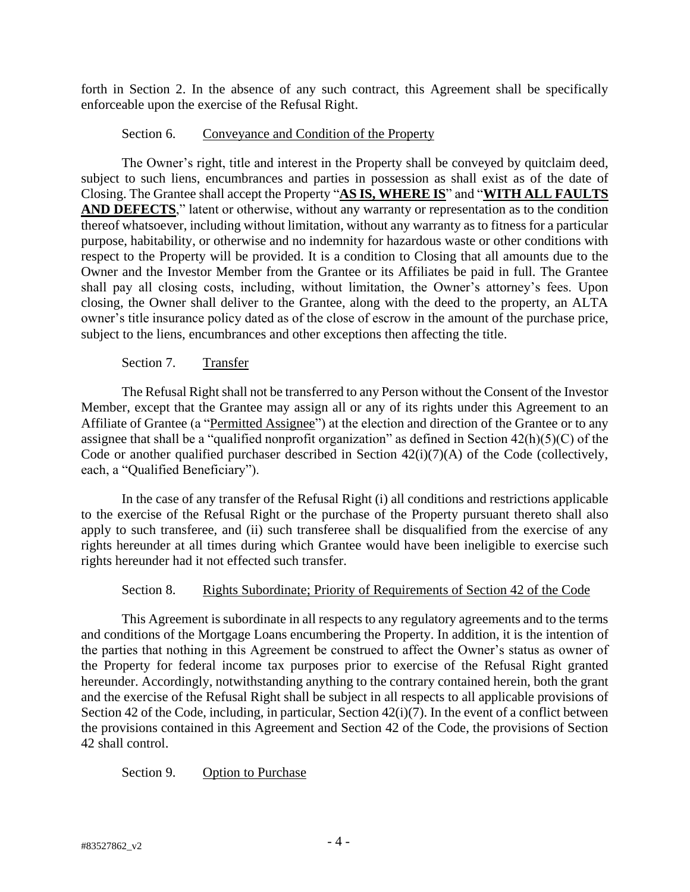forth in Section 2. In the absence of any such contract, this Agreement shall be specifically enforceable upon the exercise of the Refusal Right.

### Section 6. Conveyance and Condition of the Property

The Owner's right, title and interest in the Property shall be conveyed by quitclaim deed, subject to such liens, encumbrances and parties in possession as shall exist as of the date of Closing. The Grantee shall accept the Property "**AS IS, WHERE IS**" and "**WITH ALL FAULTS AND DEFECTS**," latent or otherwise, without any warranty or representation as to the condition thereof whatsoever, including without limitation, without any warranty as to fitness for a particular purpose, habitability, or otherwise and no indemnity for hazardous waste or other conditions with respect to the Property will be provided. It is a condition to Closing that all amounts due to the Owner and the Investor Member from the Grantee or its Affiliates be paid in full. The Grantee shall pay all closing costs, including, without limitation, the Owner's attorney's fees. Upon closing, the Owner shall deliver to the Grantee, along with the deed to the property, an ALTA owner's title insurance policy dated as of the close of escrow in the amount of the purchase price, subject to the liens, encumbrances and other exceptions then affecting the title.

#### Section 7. Transfer

The Refusal Right shall not be transferred to any Person without the Consent of the Investor Member, except that the Grantee may assign all or any of its rights under this Agreement to an Affiliate of Grantee (a "Permitted Assignee") at the election and direction of the Grantee or to any assignee that shall be a "qualified nonprofit organization" as defined in Section 42(h)(5)(C) of the Code or another qualified purchaser described in Section 42(i)(7)(A) of the Code (collectively, each, a "Qualified Beneficiary").

In the case of any transfer of the Refusal Right (i) all conditions and restrictions applicable to the exercise of the Refusal Right or the purchase of the Property pursuant thereto shall also apply to such transferee, and (ii) such transferee shall be disqualified from the exercise of any rights hereunder at all times during which Grantee would have been ineligible to exercise such rights hereunder had it not effected such transfer.

#### Section 8. Rights Subordinate; Priority of Requirements of Section 42 of the Code

This Agreement is subordinate in all respects to any regulatory agreements and to the terms and conditions of the Mortgage Loans encumbering the Property. In addition, it is the intention of the parties that nothing in this Agreement be construed to affect the Owner's status as owner of the Property for federal income tax purposes prior to exercise of the Refusal Right granted hereunder. Accordingly, notwithstanding anything to the contrary contained herein, both the grant and the exercise of the Refusal Right shall be subject in all respects to all applicable provisions of Section 42 of the Code, including, in particular, Section 42(i)(7). In the event of a conflict between the provisions contained in this Agreement and Section 42 of the Code, the provisions of Section 42 shall control.

## Section 9. Option to Purchase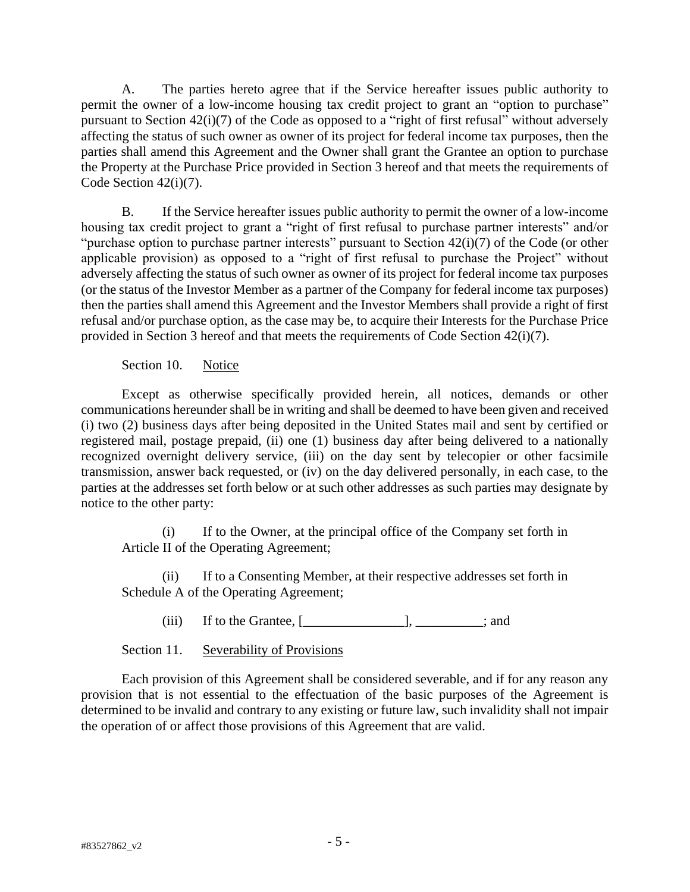A. The parties hereto agree that if the Service hereafter issues public authority to permit the owner of a low-income housing tax credit project to grant an "option to purchase" pursuant to Section 42(i)(7) of the Code as opposed to a "right of first refusal" without adversely affecting the status of such owner as owner of its project for federal income tax purposes, then the parties shall amend this Agreement and the Owner shall grant the Grantee an option to purchase the Property at the Purchase Price provided in Section 3 hereof and that meets the requirements of Code Section 42(i)(7).

B. If the Service hereafter issues public authority to permit the owner of a low-income housing tax credit project to grant a "right of first refusal to purchase partner interests" and/or "purchase option to purchase partner interests" pursuant to Section 42(i)(7) of the Code (or other applicable provision) as opposed to a "right of first refusal to purchase the Project" without adversely affecting the status of such owner as owner of its project for federal income tax purposes (or the status of the Investor Member as a partner of the Company for federal income tax purposes) then the parties shall amend this Agreement and the Investor Members shall provide a right of first refusal and/or purchase option, as the case may be, to acquire their Interests for the Purchase Price provided in Section 3 hereof and that meets the requirements of Code Section 42(i)(7).

Section 10. Notice

Except as otherwise specifically provided herein, all notices, demands or other communications hereunder shall be in writing and shall be deemed to have been given and received (i) two (2) business days after being deposited in the United States mail and sent by certified or registered mail, postage prepaid, (ii) one (1) business day after being delivered to a nationally recognized overnight delivery service, (iii) on the day sent by telecopier or other facsimile transmission, answer back requested, or (iv) on the day delivered personally, in each case, to the parties at the addresses set forth below or at such other addresses as such parties may designate by notice to the other party:

(i) If to the Owner, at the principal office of the Company set forth in Article II of the Operating Agreement;

(ii) If to a Consenting Member, at their respective addresses set forth in Schedule A of the Operating Agreement;

 $(iii)$  If to the Grantee,  $[\underline{\hspace{1cm}}]$ ,  $[\underline{\hspace{1cm}}]$ ,  $[\underline{\hspace{1cm}}]$ , and

Section 11. Severability of Provisions

Each provision of this Agreement shall be considered severable, and if for any reason any provision that is not essential to the effectuation of the basic purposes of the Agreement is determined to be invalid and contrary to any existing or future law, such invalidity shall not impair the operation of or affect those provisions of this Agreement that are valid.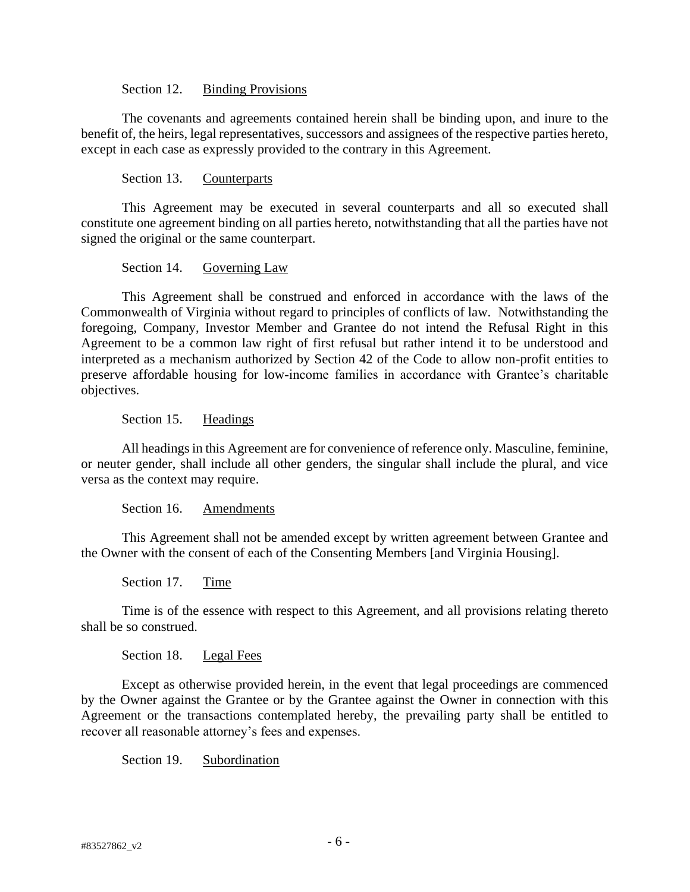#### Section 12. Binding Provisions

The covenants and agreements contained herein shall be binding upon, and inure to the benefit of, the heirs, legal representatives, successors and assignees of the respective parties hereto, except in each case as expressly provided to the contrary in this Agreement.

#### Section 13. Counterparts

This Agreement may be executed in several counterparts and all so executed shall constitute one agreement binding on all parties hereto, notwithstanding that all the parties have not signed the original or the same counterpart.

#### Section 14. Governing Law

This Agreement shall be construed and enforced in accordance with the laws of the Commonwealth of Virginia without regard to principles of conflicts of law. Notwithstanding the foregoing, Company, Investor Member and Grantee do not intend the Refusal Right in this Agreement to be a common law right of first refusal but rather intend it to be understood and interpreted as a mechanism authorized by Section 42 of the Code to allow non-profit entities to preserve affordable housing for low-income families in accordance with Grantee's charitable objectives.

#### Section 15. Headings

All headings in this Agreement are for convenience of reference only. Masculine, feminine, or neuter gender, shall include all other genders, the singular shall include the plural, and vice versa as the context may require.

Section 16. Amendments

This Agreement shall not be amended except by written agreement between Grantee and the Owner with the consent of each of the Consenting Members [and Virginia Housing].

Section 17. Time

Time is of the essence with respect to this Agreement, and all provisions relating thereto shall be so construed.

#### Section 18. Legal Fees

Except as otherwise provided herein, in the event that legal proceedings are commenced by the Owner against the Grantee or by the Grantee against the Owner in connection with this Agreement or the transactions contemplated hereby, the prevailing party shall be entitled to recover all reasonable attorney's fees and expenses.

Section 19. Subordination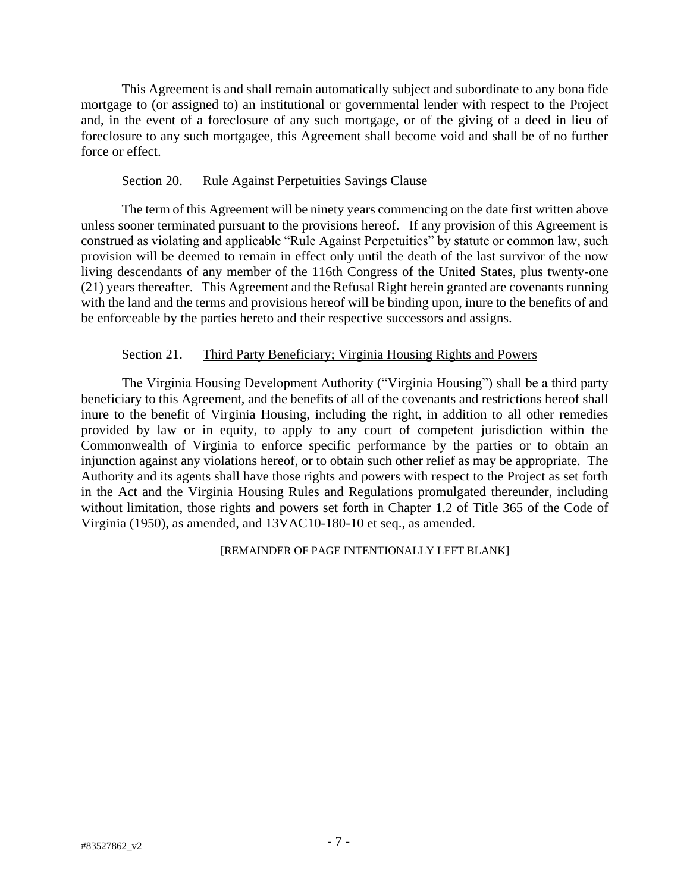This Agreement is and shall remain automatically subject and subordinate to any bona fide mortgage to (or assigned to) an institutional or governmental lender with respect to the Project and, in the event of a foreclosure of any such mortgage, or of the giving of a deed in lieu of foreclosure to any such mortgagee, this Agreement shall become void and shall be of no further force or effect.

#### Section 20. Rule Against Perpetuities Savings Clause

The term of this Agreement will be ninety years commencing on the date first written above unless sooner terminated pursuant to the provisions hereof. If any provision of this Agreement is construed as violating and applicable "Rule Against Perpetuities" by statute or common law, such provision will be deemed to remain in effect only until the death of the last survivor of the now living descendants of any member of the 116th Congress of the United States, plus twenty-one (21) years thereafter. This Agreement and the Refusal Right herein granted are covenants running with the land and the terms and provisions hereof will be binding upon, inure to the benefits of and be enforceable by the parties hereto and their respective successors and assigns.

#### Section 21. Third Party Beneficiary; Virginia Housing Rights and Powers

The Virginia Housing Development Authority ("Virginia Housing") shall be a third party beneficiary to this Agreement, and the benefits of all of the covenants and restrictions hereof shall inure to the benefit of Virginia Housing, including the right, in addition to all other remedies provided by law or in equity, to apply to any court of competent jurisdiction within the Commonwealth of Virginia to enforce specific performance by the parties or to obtain an injunction against any violations hereof, or to obtain such other relief as may be appropriate. The Authority and its agents shall have those rights and powers with respect to the Project as set forth in the Act and the Virginia Housing Rules and Regulations promulgated thereunder, including without limitation, those rights and powers set forth in Chapter 1.2 of Title 365 of the Code of Virginia (1950), as amended, and 13VAC10-180-10 et seq., as amended.

#### [REMAINDER OF PAGE INTENTIONALLY LEFT BLANK]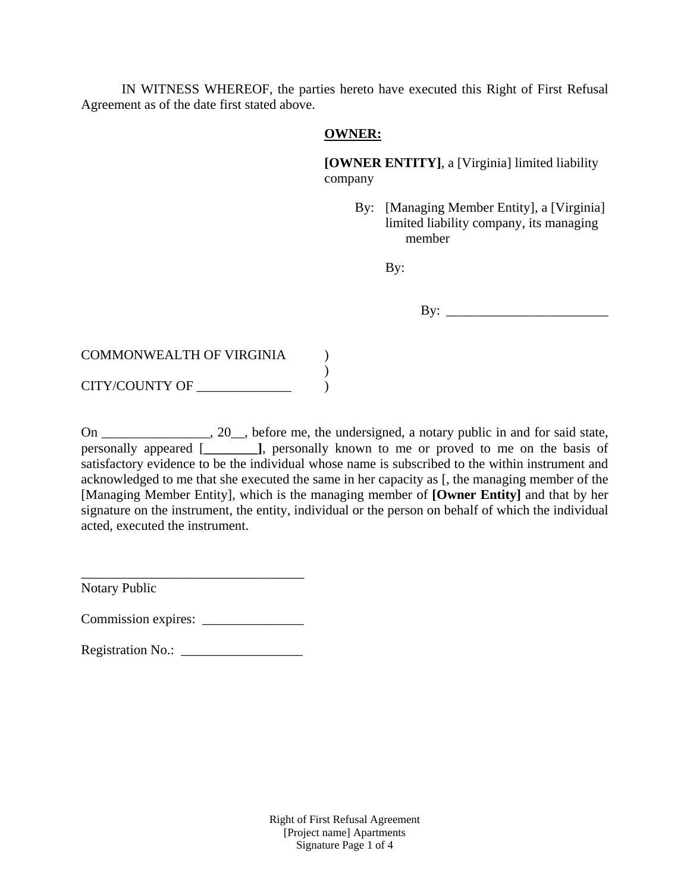IN WITNESS WHEREOF, the parties hereto have executed this Right of First Refusal Agreement as of the date first stated above.

## **OWNER:**

**[OWNER ENTITY]**, a [Virginia] limited liability company

> By: [Managing Member Entity], a [Virginia] limited liability company, its managing member

> > By:

COMMONWEALTH OF VIRGINIA )  $\lambda$ CITY/COUNTY OF  $\qquad \qquad$  )

On \_\_\_\_\_\_\_\_\_\_\_\_\_, 20\_, before me, the undersigned, a notary public in and for said state, personally appeared [**\_\_\_\_\_\_\_\_]**, personally known to me or proved to me on the basis of satisfactory evidence to be the individual whose name is subscribed to the within instrument and acknowledged to me that she executed the same in her capacity as [, the managing member of the [Managing Member Entity], which is the managing member of **[Owner Entity]** and that by her signature on the instrument, the entity, individual or the person on behalf of which the individual acted, executed the instrument.

Notary Public

Commission expires: \_\_\_\_\_\_\_\_\_\_\_\_\_\_\_

\_\_\_\_\_\_\_\_\_\_\_\_\_\_\_\_\_\_\_\_\_\_\_\_\_\_\_\_\_\_\_\_\_

Registration No.: \_\_\_\_\_\_\_\_\_\_\_\_\_\_\_\_\_\_

Right of First Refusal Agreement [Project name] Apartments Signature Page 1 of 4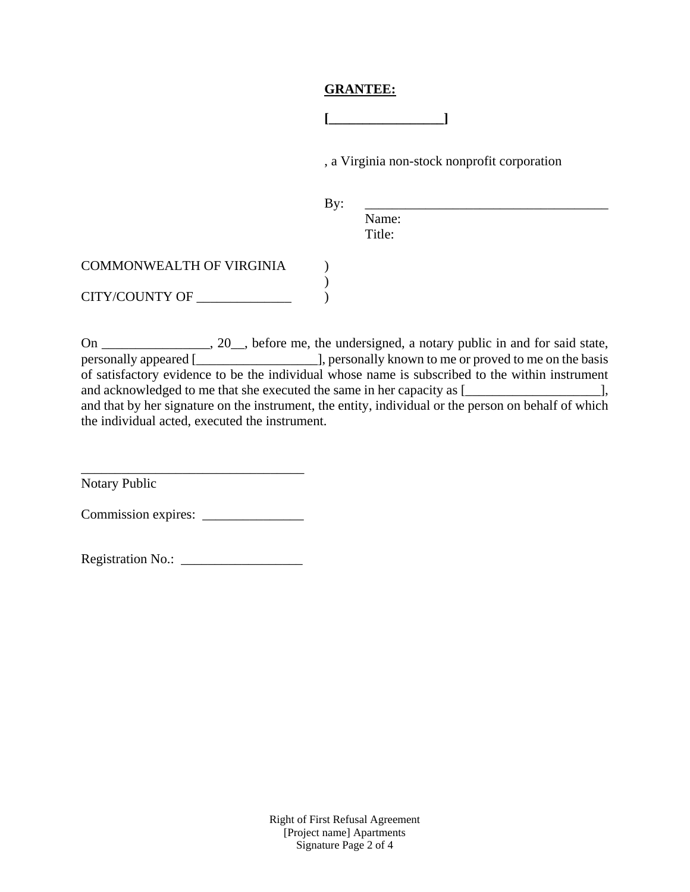## **GRANTEE:**

**[\_\_\_\_\_\_\_\_\_\_\_\_\_\_\_\_\_]**

, a Virginia non-stock nonprofit corporation

By: \_\_\_\_\_\_\_\_\_\_\_\_\_\_\_\_\_\_\_\_\_\_\_\_\_\_\_\_\_\_\_\_\_\_\_\_

Name: Title:

| COMMONWEALTH OF VIRGINIA |  |
|--------------------------|--|
| CITY/COUNTY OF           |  |

On \_\_\_\_\_\_\_\_\_\_\_\_\_, 20\_, before me, the undersigned, a notary public in and for said state, personally appeared [\_\_\_\_\_\_\_\_\_\_\_\_\_\_\_\_\_\_], personally known to me or proved to me on the basis of satisfactory evidence to be the individual whose name is subscribed to the within instrument and acknowledged to me that she executed the same in her capacity as  $[\_$ and that by her signature on the instrument, the entity, individual or the person on behalf of which the individual acted, executed the instrument.

\_\_\_\_\_\_\_\_\_\_\_\_\_\_\_\_\_\_\_\_\_\_\_\_\_\_\_\_\_\_\_\_\_ Notary Public

Commission expires: \_\_\_\_\_\_\_\_\_\_\_\_\_\_\_

Registration No.: \_\_\_\_\_\_\_\_\_\_\_\_\_\_\_\_\_\_

Right of First Refusal Agreement [Project name] Apartments Signature Page 2 of 4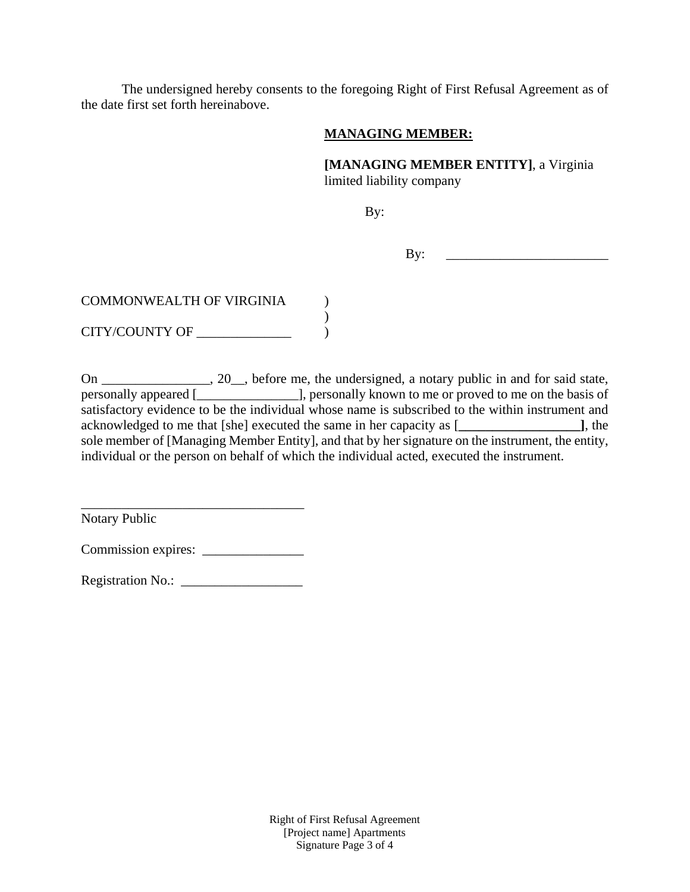The undersigned hereby consents to the foregoing Right of First Refusal Agreement as of the date first set forth hereinabove.

## **MANAGING MEMBER:**

**[MANAGING MEMBER ENTITY]**, a Virginia limited liability company

By:

By: \_\_\_\_\_\_\_\_\_\_\_\_\_\_\_\_\_\_\_\_\_\_\_\_

| <b>COMMONWEALTH OF VIRGINIA</b> |  |
|---------------------------------|--|
|                                 |  |
| <b>CITY/COUNTY OF</b>           |  |

On \_\_\_\_\_\_\_\_\_\_\_\_\_, 20 \_\_, before me, the undersigned, a notary public in and for said state, personally appeared [\_\_\_\_\_\_\_\_\_\_\_\_\_\_\_], personally known to me or proved to me on the basis of satisfactory evidence to be the individual whose name is subscribed to the within instrument and acknowledged to me that [she] executed the same in her capacity as [**\_\_\_\_\_\_\_\_\_\_\_\_\_\_\_\_\_\_]**, the sole member of [Managing Member Entity], and that by her signature on the instrument, the entity, individual or the person on behalf of which the individual acted, executed the instrument.

Notary Public

Commission expires: \_\_\_\_\_\_\_\_\_\_\_\_\_\_\_

\_\_\_\_\_\_\_\_\_\_\_\_\_\_\_\_\_\_\_\_\_\_\_\_\_\_\_\_\_\_\_\_\_

Registration No.: \_\_\_\_\_\_\_\_\_\_\_\_\_\_\_\_\_\_

Right of First Refusal Agreement [Project name] Apartments Signature Page 3 of 4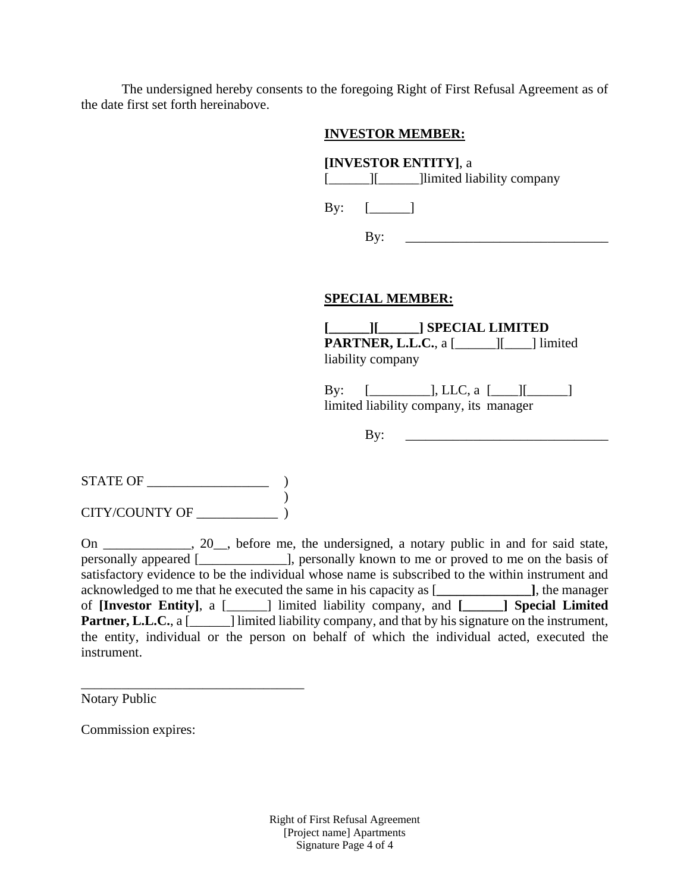The undersigned hereby consents to the foregoing Right of First Refusal Agreement as of the date first set forth hereinabove.

## **INVESTOR MEMBER:**

## **[INVESTOR ENTITY]**, a

[\_\_\_\_\_\_\_][\_\_\_\_\_\_\_\_]limited liability company

By:  $[$   $]$ 

By:  $\qquad \qquad$ 

## **SPECIAL MEMBER:**

**[\_\_\_\_\_\_][\_\_\_\_\_\_] SPECIAL LIMITED PARTNER, L.L.C.**, a [\_\_\_\_\_\_][\_\_\_\_] limited liability company

By:  $[\_$ .  $[LC, a [\_$ limited liability company, its manager

 $\mathbf{By:}$ 

 $\begin{tabular}{c} \bf STATE OF \end{tabular}$ ) CITY/COUNTY OF \_\_\_\_\_\_\_\_\_\_\_\_ )

\_\_\_\_\_\_\_\_\_\_\_\_\_\_\_\_\_\_\_\_\_\_\_\_\_\_\_\_\_\_\_\_\_

On \_\_\_\_\_\_\_\_\_\_\_\_\_, 20\_\_, before me, the undersigned, a notary public in and for said state, personally appeared [\_\_\_\_\_\_\_\_\_\_\_\_\_], personally known to me or proved to me on the basis of satisfactory evidence to be the individual whose name is subscribed to the within instrument and acknowledged to me that he executed the same in his capacity as [**\_\_\_\_\_\_\_\_\_\_\_\_\_\_]**, the manager of **[Investor Entity]**, a [\_\_\_\_\_\_] limited liability company, and **[\_\_\_\_\_\_] Special Limited Partner, L.L.C.**, a [\_\_\_\_\_\_] limited liability company, and that by his signature on the instrument, the entity, individual or the person on behalf of which the individual acted, executed the instrument.

Notary Public

Commission expires:

Right of First Refusal Agreement [Project name] Apartments Signature Page 4 of 4